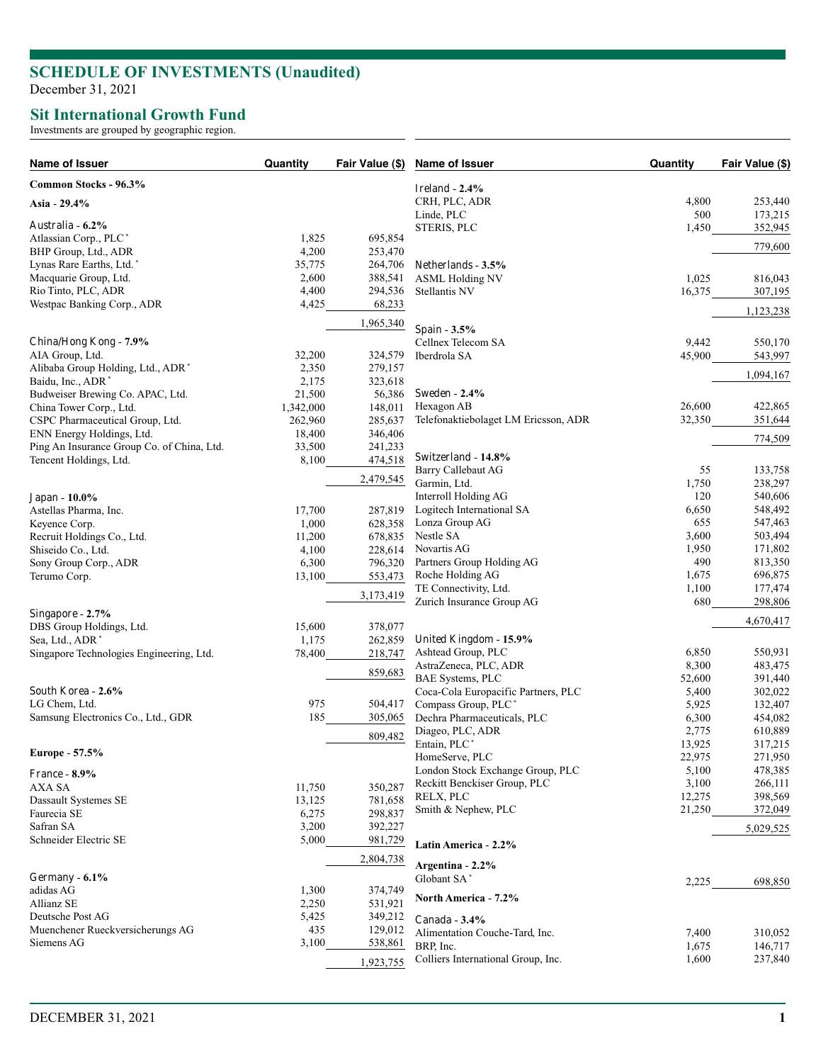## **SCHEDULE OF INVESTMENTS (Unaudited)**

December 31, 2021

## **Sit International Growth Fund**

Investments are grouped by geographic region.

| Name of Issuer                                    | Quantity        | Fair Value (\$)    | Name of Issuer                                    | Quantity         | Fair Value (\$)    |
|---------------------------------------------------|-----------------|--------------------|---------------------------------------------------|------------------|--------------------|
| Common Stocks - 96.3%                             |                 |                    | Ireland - $2.4\%$                                 |                  |                    |
| Asia - 29.4%                                      |                 |                    | CRH, PLC, ADR                                     | 4,800            | 253,440            |
|                                                   |                 |                    | Linde, PLC                                        | 500              | 173,215            |
| Australia - 6.2%                                  |                 |                    | STERIS, PLC                                       | 1,450            | 352,945            |
| Atlassian Corp., PLC*                             | 1,825           | 695,854            |                                                   |                  | 779,600            |
| BHP Group, Ltd., ADR                              | 4,200           | 253,470            |                                                   |                  |                    |
| Lynas Rare Earths, Ltd.*                          | 35,775          | 264,706            | Netherlands - 3.5%                                |                  |                    |
| Macquarie Group, Ltd.                             | 2,600<br>4,400  | 388,541            | <b>ASML Holding NV</b>                            | 1,025            | 816,043            |
| Rio Tinto, PLC, ADR<br>Westpac Banking Corp., ADR | 4,425           | 294,536<br>68,233  | Stellantis NV                                     | 16,375           | 307,195            |
|                                                   |                 |                    |                                                   |                  | 1,123,238          |
|                                                   |                 | 1,965,340          | Spain - 3.5%                                      |                  |                    |
| China/Hong Kong - 7.9%                            |                 |                    | Cellnex Telecom SA                                | 9,442            | 550,170            |
| AIA Group, Ltd.                                   | 32,200          | 324,579            | Iberdrola SA                                      | 45,900           | 543,997            |
| Alibaba Group Holding, Ltd., ADR*                 | 2,350           | 279,157            |                                                   |                  | 1,094,167          |
| Baidu, Inc., ADR*                                 | 2,175           | 323,618            |                                                   |                  |                    |
| Budweiser Brewing Co. APAC, Ltd.                  | 21,500          | 56,386             | <b>Sweden - 2.4%</b>                              |                  |                    |
| China Tower Corp., Ltd.                           | 1,342,000       | 148,011            | Hexagon AB                                        | 26,600           | 422,865            |
| CSPC Pharmaceutical Group, Ltd.                   | 262,960         | 285,637            | Telefonaktiebolaget LM Ericsson, ADR              | 32,350           | 351,644            |
| ENN Energy Holdings, Ltd.                         | 18,400          | 346,406            |                                                   |                  | 774,509            |
| Ping An Insurance Group Co. of China, Ltd.        | 33,500          | 241,233            |                                                   |                  |                    |
| Tencent Holdings, Ltd.                            | 8,100           | 474,518            | Switzerland - 14.8%<br>Barry Callebaut AG         |                  | 133,758            |
|                                                   |                 | 2,479,545          |                                                   | 55               |                    |
|                                                   |                 |                    | Garmin, Ltd.                                      | 1,750<br>120     | 238,297<br>540,606 |
| Japan - 10.0%                                     |                 |                    | Interroll Holding AG<br>Logitech International SA | 6,650            | 548,492            |
| Astellas Pharma, Inc.                             | 17,700<br>1,000 | 287,819            | Lonza Group AG                                    | 655              | 547,463            |
| Keyence Corp.                                     | 11,200          | 628,358<br>678,835 | Nestle SA                                         | 3,600            | 503,494            |
| Recruit Holdings Co., Ltd.<br>Shiseido Co., Ltd.  | 4,100           | 228,614            | Novartis AG                                       | 1,950            | 171,802            |
| Sony Group Corp., ADR                             | 6,300           | 796,320            | Partners Group Holding AG                         | 490              | 813,350            |
| Terumo Corp.                                      | 13,100          | 553,473            | Roche Holding AG                                  | 1,675            | 696,875            |
|                                                   |                 |                    | TE Connectivity, Ltd.                             | 1,100            | 177,474            |
|                                                   |                 | 3,173,419          | Zurich Insurance Group AG                         | 680              | 298,806            |
| Singapore - 2.7%                                  |                 |                    |                                                   |                  | 4,670,417          |
| DBS Group Holdings, Ltd.                          | 15,600          | 378,077            |                                                   |                  |                    |
| Sea, Ltd., ADR <sup>*</sup>                       | 1,175           | 262,859            | United Kingdom - 15.9%                            |                  |                    |
| Singapore Technologies Engineering, Ltd.          | 78,400          | 218,747            | Ashtead Group, PLC                                | 6,850            | 550,931            |
|                                                   |                 | 859,683            | AstraZeneca, PLC, ADR                             | 8,300            | 483,475            |
|                                                   |                 |                    | BAE Systems, PLC                                  | 52,600           | 391,440            |
| South Korea - 2.6%                                |                 |                    | Coca-Cola Europacific Partners, PLC               | 5,400            | 302,022            |
| LG Chem, Ltd.                                     | 975             | 504,417            | Compass Group, PLC*                               | 5,925            | 132,407            |
| Samsung Electronics Co., Ltd., GDR                | 185             | 305,065            | Dechra Pharmaceuticals, PLC                       | 6,300            | 454,082            |
|                                                   |                 | 809,482            | Diageo, PLC, ADR                                  | 2,775            | 610,889            |
| Europe - 57.5%                                    |                 |                    | Entain, PLC <sup>*</sup>                          | 13,925           | 317,215            |
|                                                   |                 |                    | HomeServe, PLC                                    | 22,975           | 271,950            |
| <b>France - 8.9%</b>                              |                 |                    | London Stock Exchange Group, PLC                  | 5,100            | 478,385            |
| AXA SA                                            | 11,750          | 350,287            | Reckitt Benckiser Group, PLC<br>RELX, PLC         | 3,100            | 266,111            |
| Dassault Systemes SE                              | 13,125          | 781,658            | Smith & Nephew, PLC                               | 12,275<br>21,250 | 398,569<br>372,049 |
| Faurecia SE                                       | 6,275           | 298,837            |                                                   |                  |                    |
| Safran SA                                         | 3,200           | 392,227            |                                                   |                  | 5,029,525          |
| Schneider Electric SE                             | 5,000           | 981,729            | Latin America - 2.2%                              |                  |                    |
|                                                   |                 | 2,804,738          | Argentina - 2.2%                                  |                  |                    |
| Germany - $6.1\%$                                 |                 |                    | Globant SA*                                       |                  |                    |
| adidas AG                                         | 1,300           | 374,749            |                                                   | 2,225            | 698,850            |
| Allianz SE                                        | 2,250           | 531,921            | North America - 7.2%                              |                  |                    |
| Deutsche Post AG                                  | 5,425           | 349,212            | Canada - $3.4\%$                                  |                  |                    |
| Muenchener Rueckversicherungs AG                  | 435             | 129,012            | Alimentation Couche-Tard, Inc.                    | 7,400            | 310,052            |
| Siemens AG                                        | 3,100           | 538,861            | BRP, Inc.                                         | 1,675            | 146,717            |
|                                                   |                 |                    | Colliers International Group, Inc.                | 1,600            | 237,840            |
|                                                   |                 | 1,923,755          |                                                   |                  |                    |